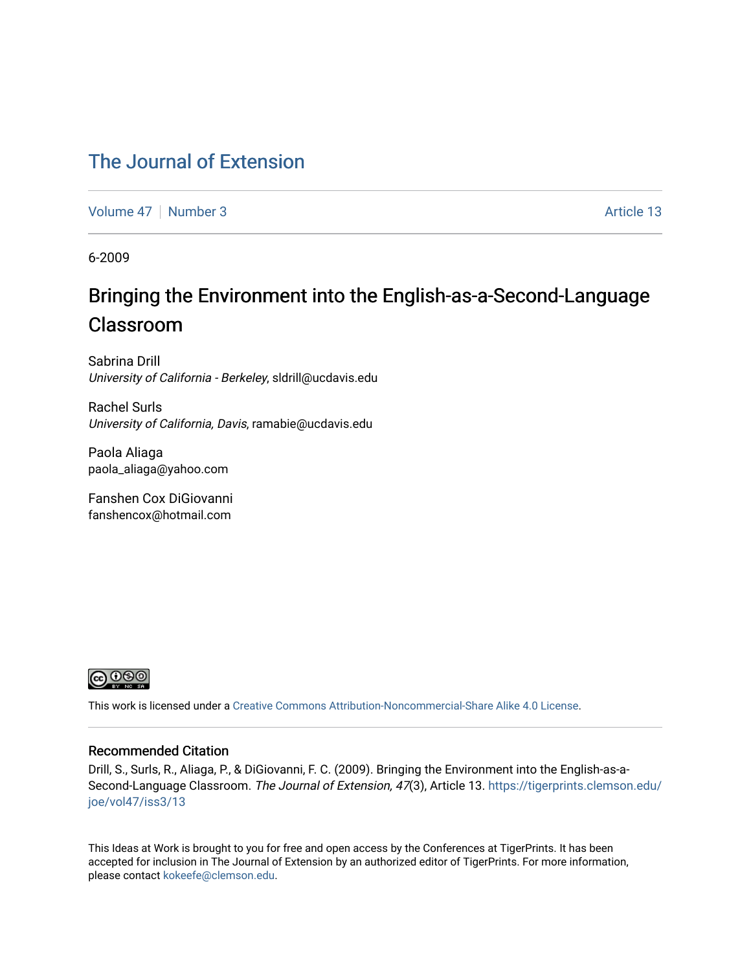### [The Journal of Extension](https://tigerprints.clemson.edu/joe)

[Volume 47](https://tigerprints.clemson.edu/joe/vol47) | [Number 3](https://tigerprints.clemson.edu/joe/vol47/iss3) Article 13

6-2009

# Bringing the Environment into the English-as-a-Second-Language Classroom

Sabrina Drill University of California - Berkeley, sldrill@ucdavis.edu

Rachel Surls University of California, Davis, ramabie@ucdavis.edu

Paola Aliaga paola\_aliaga@yahoo.com

Fanshen Cox DiGiovanni fanshencox@hotmail.com



This work is licensed under a [Creative Commons Attribution-Noncommercial-Share Alike 4.0 License.](https://creativecommons.org/licenses/by-nc-sa/4.0/)

#### Recommended Citation

Drill, S., Surls, R., Aliaga, P., & DiGiovanni, F. C. (2009). Bringing the Environment into the English-as-aSecond-Language Classroom. The Journal of Extension, 47(3), Article 13. [https://tigerprints.clemson.edu/](https://tigerprints.clemson.edu/joe/vol47/iss3/13) [joe/vol47/iss3/13](https://tigerprints.clemson.edu/joe/vol47/iss3/13)

This Ideas at Work is brought to you for free and open access by the Conferences at TigerPrints. It has been accepted for inclusion in The Journal of Extension by an authorized editor of TigerPrints. For more information, please contact [kokeefe@clemson.edu](mailto:kokeefe@clemson.edu).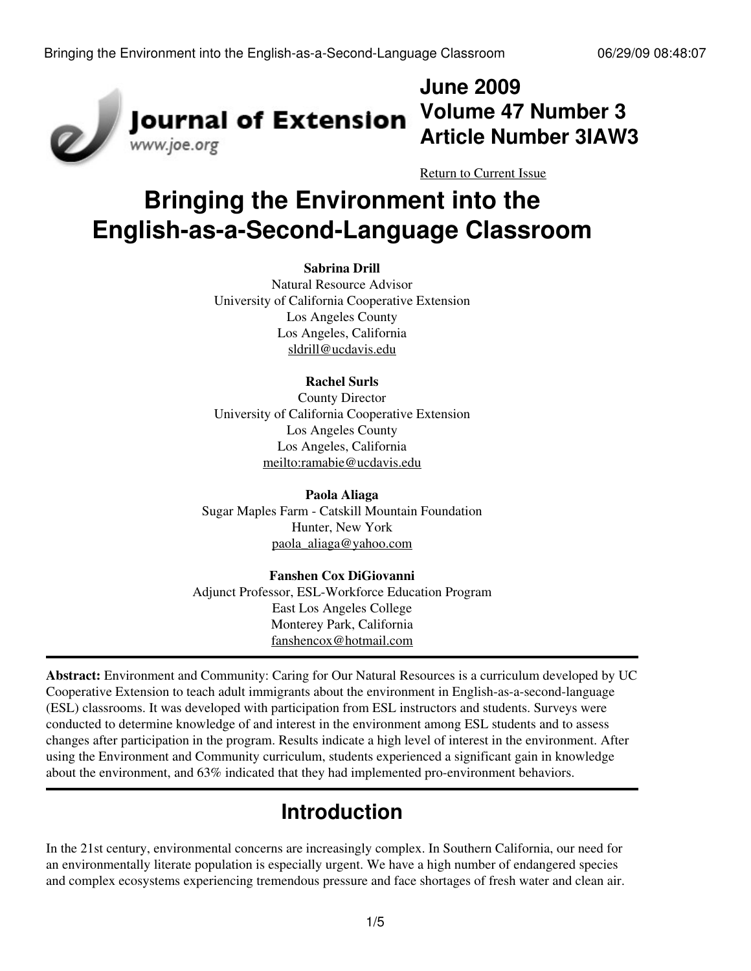

**June 2009 Volume 47 Number 3 Article Number 3IAW3**

[Return to Current Issue](http://www.joe.org:80/joe/2009june/)

# **Bringing the Environment into the English-as-a-Second-Language Classroom**

#### **Sabrina Drill**

Natural Resource Advisor University of California Cooperative Extension Los Angeles County Los Angeles, California [sldrill@ucdavis.edu](mailto:sldrill@ucdavis.edu)

#### **Rachel Surls**

County Director University of California Cooperative Extension Los Angeles County Los Angeles, California [meilto:ramabie@ucdavis.edu](http://www.joe.org:80/joe/2009june/meilto:ramabie@ucdavis.edu)

**Paola Aliaga** Sugar Maples Farm - Catskill Mountain Foundation Hunter, New York [paola\\_aliaga@yahoo.com](mailto:paola_aliaga@yahoo.com)

### **Fanshen Cox DiGiovanni** Adjunct Professor, ESL-Workforce Education Program East Los Angeles College Monterey Park, California [fanshencox@hotmail.com](mailto:fanshencox@hotmail.com)

**Abstract:** Environment and Community: Caring for Our Natural Resources is a curriculum developed by UC Cooperative Extension to teach adult immigrants about the environment in English-as-a-second-language (ESL) classrooms. It was developed with participation from ESL instructors and students. Surveys were conducted to determine knowledge of and interest in the environment among ESL students and to assess changes after participation in the program. Results indicate a high level of interest in the environment. After using the Environment and Community curriculum, students experienced a significant gain in knowledge about the environment, and 63% indicated that they had implemented pro-environment behaviors.

# **Introduction**

In the 21st century, environmental concerns are increasingly complex. In Southern California, our need for an environmentally literate population is especially urgent. We have a high number of endangered species and complex ecosystems experiencing tremendous pressure and face shortages of fresh water and clean air.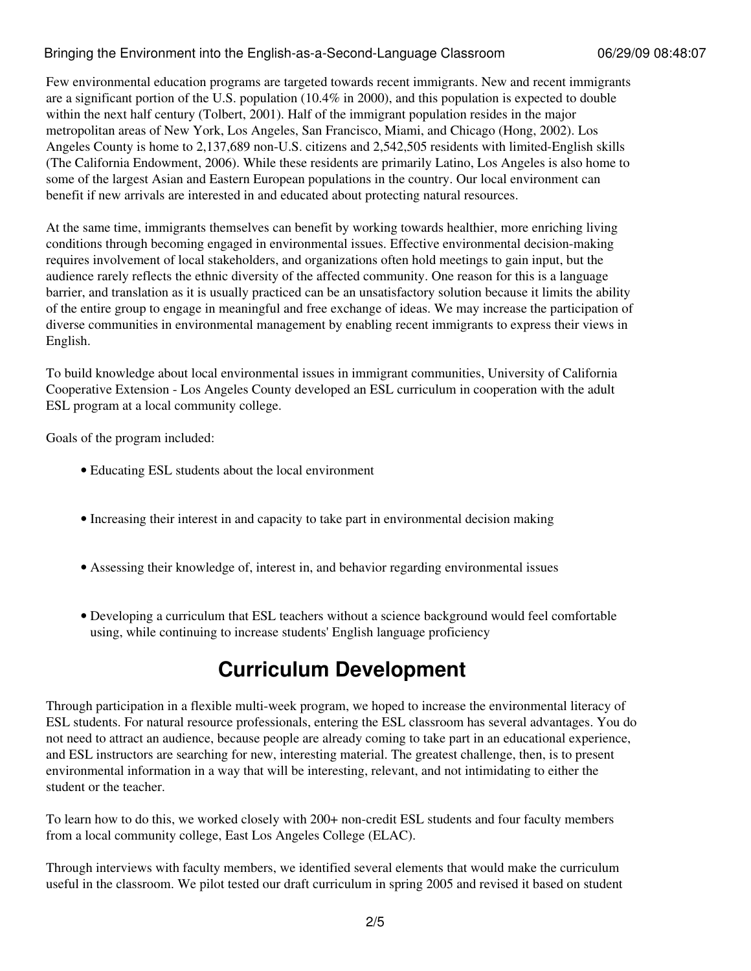### Bringing the Environment into the English-as-a-Second-Language Classroom 06/29/09 08:48:07

Few environmental education programs are targeted towards recent immigrants. New and recent immigrants are a significant portion of the U.S. population (10.4% in 2000), and this population is expected to double within the next half century (Tolbert, 2001). Half of the immigrant population resides in the major metropolitan areas of New York, Los Angeles, San Francisco, Miami, and Chicago (Hong, 2002). Los Angeles County is home to 2,137,689 non-U.S. citizens and 2,542,505 residents with limited-English skills (The California Endowment, 2006). While these residents are primarily Latino, Los Angeles is also home to some of the largest Asian and Eastern European populations in the country. Our local environment can benefit if new arrivals are interested in and educated about protecting natural resources.

At the same time, immigrants themselves can benefit by working towards healthier, more enriching living conditions through becoming engaged in environmental issues. Effective environmental decision-making requires involvement of local stakeholders, and organizations often hold meetings to gain input, but the audience rarely reflects the ethnic diversity of the affected community. One reason for this is a language barrier, and translation as it is usually practiced can be an unsatisfactory solution because it limits the ability of the entire group to engage in meaningful and free exchange of ideas. We may increase the participation of diverse communities in environmental management by enabling recent immigrants to express their views in English.

To build knowledge about local environmental issues in immigrant communities, University of California Cooperative Extension - Los Angeles County developed an ESL curriculum in cooperation with the adult ESL program at a local community college.

Goals of the program included:

- Educating ESL students about the local environment
- Increasing their interest in and capacity to take part in environmental decision making
- Assessing their knowledge of, interest in, and behavior regarding environmental issues
- Developing a curriculum that ESL teachers without a science background would feel comfortable using, while continuing to increase students' English language proficiency

# **Curriculum Development**

Through participation in a flexible multi-week program, we hoped to increase the environmental literacy of ESL students. For natural resource professionals, entering the ESL classroom has several advantages. You do not need to attract an audience, because people are already coming to take part in an educational experience, and ESL instructors are searching for new, interesting material. The greatest challenge, then, is to present environmental information in a way that will be interesting, relevant, and not intimidating to either the student or the teacher.

To learn how to do this, we worked closely with 200+ non-credit ESL students and four faculty members from a local community college, East Los Angeles College (ELAC).

Through interviews with faculty members, we identified several elements that would make the curriculum useful in the classroom. We pilot tested our draft curriculum in spring 2005 and revised it based on student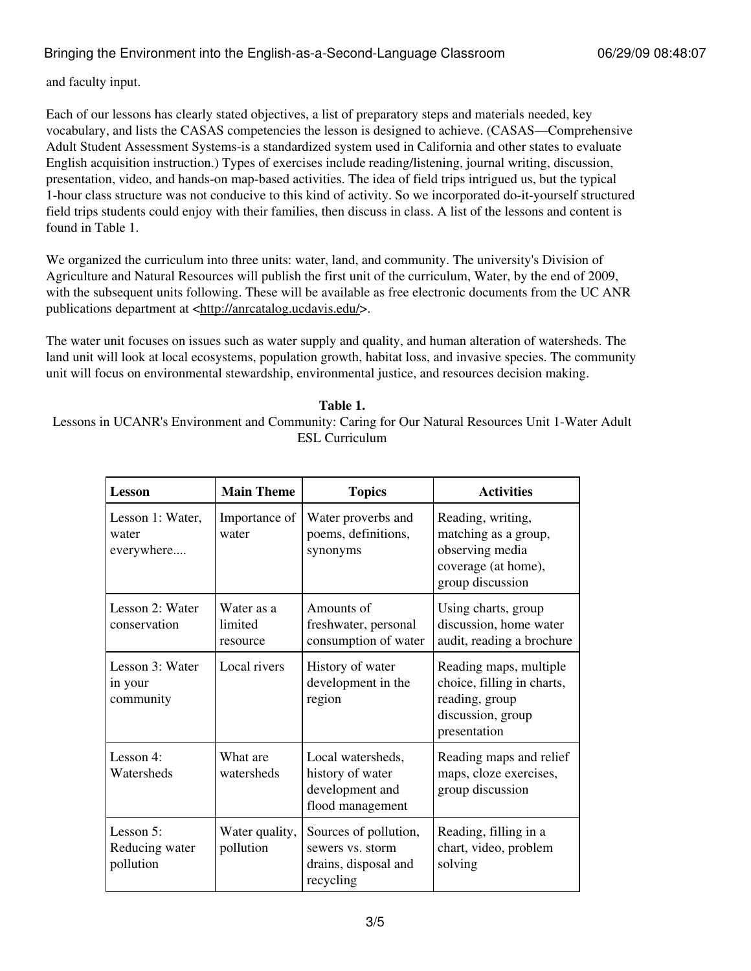### Bringing the Environment into the English-as-a-Second-Language Classroom 06/29/09 08:48:07

and faculty input.

Each of our lessons has clearly stated objectives, a list of preparatory steps and materials needed, key vocabulary, and lists the CASAS competencies the lesson is designed to achieve. (CASAS—Comprehensive Adult Student Assessment Systems-is a standardized system used in California and other states to evaluate English acquisition instruction.) Types of exercises include reading/listening, journal writing, discussion, presentation, video, and hands-on map-based activities. The idea of field trips intrigued us, but the typical 1-hour class structure was not conducive to this kind of activity. So we incorporated do-it-yourself structured field trips students could enjoy with their families, then discuss in class. A list of the lessons and content is found in Table 1.

We organized the curriculum into three units: water, land, and community. The university's Division of Agriculture and Natural Resources will publish the first unit of the curriculum, Water, by the end of 2009, with the subsequent units following. These will be available as free electronic documents from the UC ANR publications department at [<http://anrcatalog.ucdavis.edu/](http://anrcatalog.ucdavis.edu/)>.

The water unit focuses on issues such as water supply and quality, and human alteration of watersheds. The land unit will look at local ecosystems, population growth, habitat loss, and invasive species. The community unit will focus on environmental stewardship, environmental justice, and resources decision making.

#### **Table 1.**

Lessons in UCANR's Environment and Community: Caring for Our Natural Resources Unit 1-Water Adult ESL Curriculum

| Lesson                                   | <b>Main Theme</b>                 | <b>Topics</b>                                                                  | <b>Activities</b>                                                                                           |
|------------------------------------------|-----------------------------------|--------------------------------------------------------------------------------|-------------------------------------------------------------------------------------------------------------|
| Lesson 1: Water,<br>water<br>everywhere  | Importance of<br>water            | Water proverbs and<br>poems, definitions,<br>synonyms                          | Reading, writing,<br>matching as a group,<br>observing media<br>coverage (at home),<br>group discussion     |
| Lesson 2: Water<br>conservation          | Water as a<br>limited<br>resource | Amounts of<br>freshwater, personal<br>consumption of water                     | Using charts, group<br>discussion, home water<br>audit, reading a brochure                                  |
| Lesson 3: Water<br>in your<br>community  | Local rivers                      | History of water<br>development in the<br>region                               | Reading maps, multiple<br>choice, filling in charts,<br>reading, group<br>discussion, group<br>presentation |
| Lesson 4:<br>Watersheds                  | What are<br>watersheds            | Local watersheds,<br>history of water<br>development and<br>flood management   | Reading maps and relief<br>maps, cloze exercises,<br>group discussion                                       |
| Lesson 5:<br>Reducing water<br>pollution | Water quality,<br>pollution       | Sources of pollution,<br>sewers vs. storm<br>drains, disposal and<br>recycling | Reading, filling in a<br>chart, video, problem<br>solving                                                   |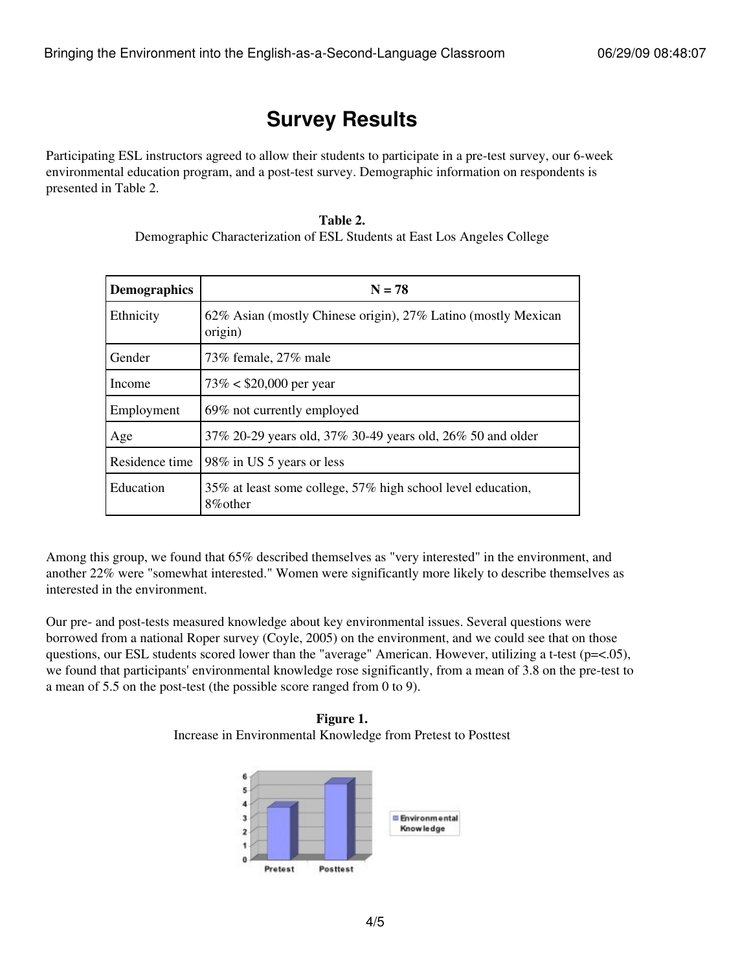# **Survey Results**

Participating ESL instructors agreed to allow their students to participate in a pre-test survey, our 6-week environmental education program, and a post-test survey. Demographic information on respondents is presented in Table 2.

### **Table 2.** Demographic Characterization of ESL Students at East Los Angeles College

| <b>Demographics</b> | $N = 78$                                                                 |  |  |
|---------------------|--------------------------------------------------------------------------|--|--|
| Ethnicity           | 62% Asian (mostly Chinese origin), 27% Latino (mostly Mexican<br>origin) |  |  |
| Gender              | 73% female, 27% male                                                     |  |  |
| Income              | $73\% < $20,000$ per year                                                |  |  |
| Employment          | 69% not currently employed                                               |  |  |
| Age                 | 37% 20-29 years old, 37% 30-49 years old, 26% 50 and older               |  |  |
| Residence time      | 98% in US 5 years or less                                                |  |  |
| Education           | 35% at least some college, 57% high school level education,<br>8\% other |  |  |

Among this group, we found that 65% described themselves as "very interested" in the environment, and another 22% were "somewhat interested." Women were significantly more likely to describe themselves as interested in the environment.

Our pre- and post-tests measured knowledge about key environmental issues. Several questions were borrowed from a national Roper survey (Coyle, 2005) on the environment, and we could see that on those questions, our ESL students scored lower than the "average" American. However, utilizing a t-test ( $p=<.05$ ), we found that participants' environmental knowledge rose significantly, from a mean of 3.8 on the pre-test to a mean of 5.5 on the post-test (the possible score ranged from 0 to 9).

**Figure 1.** Increase in Environmental Knowledge from Pretest to Posttest